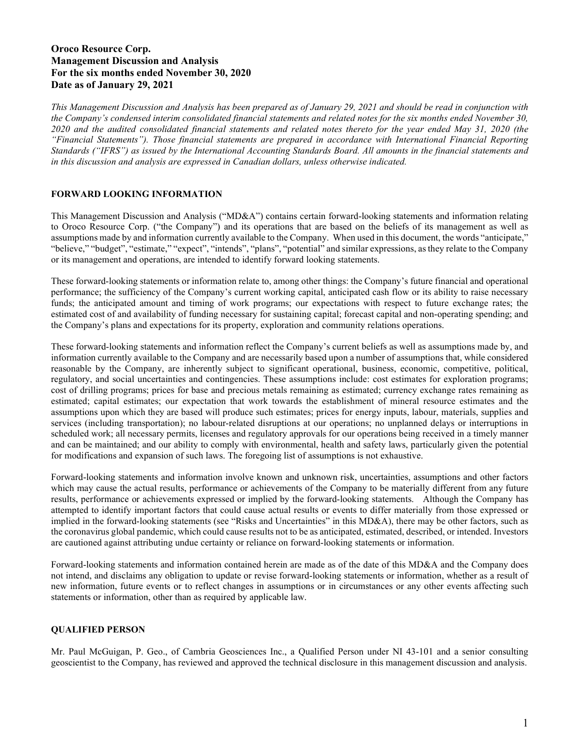# Oroco Resource Corp. Management Discussion and Analysis For the six months ended November 30, 2020 Date as of January 29, 2021

This Management Discussion and Analysis has been prepared as of January 29, 2021 and should be read in conjunction with the Company's condensed interim consolidated financial statements and related notes for the six months ended November 30, 2020 and the audited consolidated financial statements and related notes thereto for the year ended May 31, 2020 (the "Financial Statements"). Those financial statements are prepared in accordance with International Financial Reporting Standards ("IFRS") as issued by the International Accounting Standards Board. All amounts in the financial statements and in this discussion and analysis are expressed in Canadian dollars, unless otherwise indicated.

## FORWARD LOOKING INFORMATION

This Management Discussion and Analysis ("MD&A") contains certain forward-looking statements and information relating to Oroco Resource Corp. ("the Company") and its operations that are based on the beliefs of its management as well as assumptions made by and information currently available to the Company. When used in this document, the words "anticipate," "believe," "budget", "estimate," "expect", "intends", "plans", "potential" and similar expressions, as they relate to the Company or its management and operations, are intended to identify forward looking statements.

These forward-looking statements or information relate to, among other things: the Company's future financial and operational performance; the sufficiency of the Company's current working capital, anticipated cash flow or its ability to raise necessary funds; the anticipated amount and timing of work programs; our expectations with respect to future exchange rates; the estimated cost of and availability of funding necessary for sustaining capital; forecast capital and non-operating spending; and the Company's plans and expectations for its property, exploration and community relations operations.

These forward-looking statements and information reflect the Company's current beliefs as well as assumptions made by, and information currently available to the Company and are necessarily based upon a number of assumptions that, while considered reasonable by the Company, are inherently subject to significant operational, business, economic, competitive, political, regulatory, and social uncertainties and contingencies. These assumptions include: cost estimates for exploration programs; cost of drilling programs; prices for base and precious metals remaining as estimated; currency exchange rates remaining as estimated; capital estimates; our expectation that work towards the establishment of mineral resource estimates and the assumptions upon which they are based will produce such estimates; prices for energy inputs, labour, materials, supplies and services (including transportation); no labour-related disruptions at our operations; no unplanned delays or interruptions in scheduled work; all necessary permits, licenses and regulatory approvals for our operations being received in a timely manner and can be maintained; and our ability to comply with environmental, health and safety laws, particularly given the potential for modifications and expansion of such laws. The foregoing list of assumptions is not exhaustive.

Forward-looking statements and information involve known and unknown risk, uncertainties, assumptions and other factors which may cause the actual results, performance or achievements of the Company to be materially different from any future results, performance or achievements expressed or implied by the forward-looking statements. Although the Company has attempted to identify important factors that could cause actual results or events to differ materially from those expressed or implied in the forward-looking statements (see "Risks and Uncertainties" in this MD&A), there may be other factors, such as the coronavirus global pandemic, which could cause results not to be as anticipated, estimated, described, or intended. Investors are cautioned against attributing undue certainty or reliance on forward-looking statements or information.

Forward-looking statements and information contained herein are made as of the date of this MD&A and the Company does not intend, and disclaims any obligation to update or revise forward-looking statements or information, whether as a result of new information, future events or to reflect changes in assumptions or in circumstances or any other events affecting such statements or information, other than as required by applicable law.

## QUALIFIED PERSON

Mr. Paul McGuigan, P. Geo., of Cambria Geosciences Inc., a Qualified Person under NI 43-101 and a senior consulting geoscientist to the Company, has reviewed and approved the technical disclosure in this management discussion and analysis.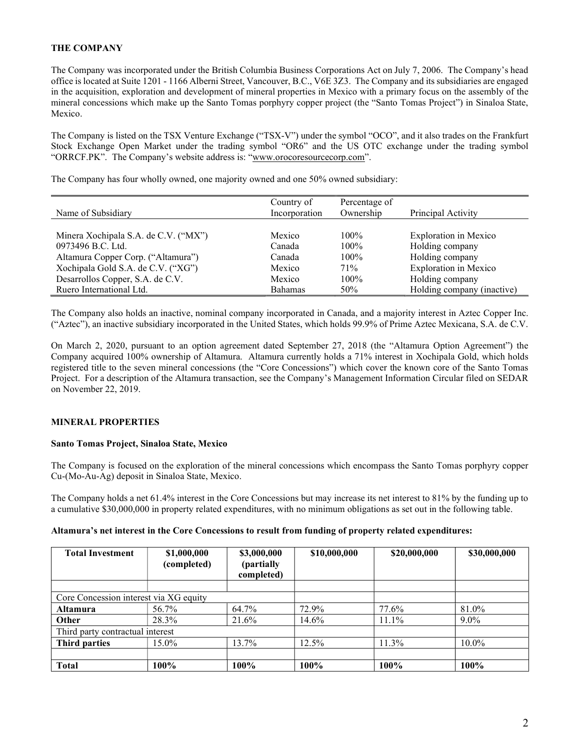## THE COMPANY

The Company was incorporated under the British Columbia Business Corporations Act on July 7, 2006. The Company's head office is located at Suite 1201 - 1166 Alberni Street, Vancouver, B.C., V6E 3Z3. The Company and its subsidiaries are engaged in the acquisition, exploration and development of mineral properties in Mexico with a primary focus on the assembly of the mineral concessions which make up the Santo Tomas porphyry copper project (the "Santo Tomas Project") in Sinaloa State, Mexico.

The Company is listed on the TSX Venture Exchange ("TSX-V") under the symbol "OCO", and it also trades on the Frankfurt Stock Exchange Open Market under the trading symbol "OR6" and the US OTC exchange under the trading symbol "ORRCF.PK". The Company's website address is: "www.orocoresourcecorp.com".

The Company has four wholly owned, one majority owned and one 50% owned subsidiary:

| Name of Subsidiary                   | Country of<br>Incorporation | Percentage of<br>Ownership | Principal Activity           |
|--------------------------------------|-----------------------------|----------------------------|------------------------------|
| Minera Xochipala S.A. de C.V. ("MX") | Mexico                      | $100\%$                    | <b>Exploration</b> in Mexico |
| 0973496 B.C. Ltd.                    | Canada                      | $100\%$                    | Holding company              |
| Altamura Copper Corp. ("Altamura")   | Canada                      | $100\%$                    | Holding company              |
| Xochipala Gold S.A. de C.V. ("XG")   | Mexico                      | 71%                        | <b>Exploration</b> in Mexico |
| Desarrollos Copper, S.A. de C.V.     | Mexico                      | $100\%$                    | Holding company              |
| Ruero International Ltd.             | <b>Bahamas</b>              | 50%                        | Holding company (inactive)   |

The Company also holds an inactive, nominal company incorporated in Canada, and a majority interest in Aztec Copper Inc. ("Aztec"), an inactive subsidiary incorporated in the United States, which holds 99.9% of Prime Aztec Mexicana, S.A. de C.V.

On March 2, 2020, pursuant to an option agreement dated September 27, 2018 (the "Altamura Option Agreement") the Company acquired 100% ownership of Altamura. Altamura currently holds a 71% interest in Xochipala Gold, which holds registered title to the seven mineral concessions (the "Core Concessions") which cover the known core of the Santo Tomas Project. For a description of the Altamura transaction, see the Company's Management Information Circular filed on SEDAR on November 22, 2019.

## MINERAL PROPERTIES

## Santo Tomas Project, Sinaloa State, Mexico

The Company is focused on the exploration of the mineral concessions which encompass the Santo Tomas porphyry copper Cu-(Mo-Au-Ag) deposit in Sinaloa State, Mexico.

The Company holds a net 61.4% interest in the Core Concessions but may increase its net interest to 81% by the funding up to a cumulative \$30,000,000 in property related expenditures, with no minimum obligations as set out in the following table.

| Altamura's net interest in the Core Concessions to result from funding of property related expenditures: |  |
|----------------------------------------------------------------------------------------------------------|--|
|----------------------------------------------------------------------------------------------------------|--|

| <b>Total Investment</b>                | \$1,000,000<br>(completed) | \$3,000,000<br>(partially)<br>completed) | \$10,000,000 | \$20,000,000 | \$30,000,000 |
|----------------------------------------|----------------------------|------------------------------------------|--------------|--------------|--------------|
|                                        |                            |                                          |              |              |              |
| Core Concession interest via XG equity |                            |                                          |              |              |              |
| Altamura                               | 56.7%                      | 64.7%                                    | 72.9%        | 77.6%        | 81.0%        |
| Other                                  | 28.3%                      | 21.6%                                    | 14.6%        | 11.1%        | $9.0\%$      |
| Third party contractual interest       |                            |                                          |              |              |              |
| Third parties                          | 15.0%                      | 13.7%                                    | 12.5%        | 11.3%        | 10.0%        |
|                                        |                            |                                          |              |              |              |
| <b>Total</b>                           | 100%                       | 100%                                     | 100%         | 100%         | 100%         |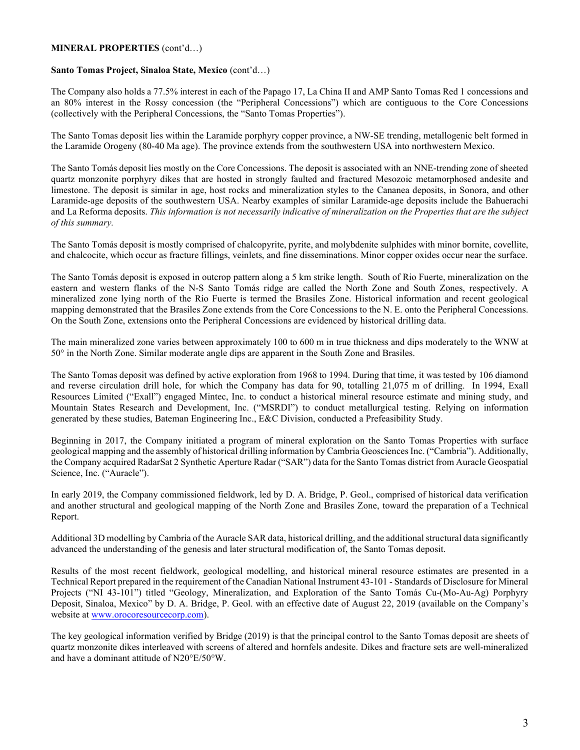#### MINERAL PROPERTIES (cont'd…)

#### Santo Tomas Project, Sinaloa State, Mexico (cont'd…)

The Company also holds a 77.5% interest in each of the Papago 17, La China II and AMP Santo Tomas Red 1 concessions and an 80% interest in the Rossy concession (the "Peripheral Concessions") which are contiguous to the Core Concessions (collectively with the Peripheral Concessions, the "Santo Tomas Properties").

The Santo Tomas deposit lies within the Laramide porphyry copper province, a NW-SE trending, metallogenic belt formed in the Laramide Orogeny (80-40 Ma age). The province extends from the southwestern USA into northwestern Mexico.

The Santo Tomás deposit lies mostly on the Core Concessions. The deposit is associated with an NNE-trending zone of sheeted quartz monzonite porphyry dikes that are hosted in strongly faulted and fractured Mesozoic metamorphosed andesite and limestone. The deposit is similar in age, host rocks and mineralization styles to the Cananea deposits, in Sonora, and other Laramide-age deposits of the southwestern USA. Nearby examples of similar Laramide-age deposits include the Bahuerachi and La Reforma deposits. This information is not necessarily indicative of mineralization on the Properties that are the subject of this summary.

The Santo Tomás deposit is mostly comprised of chalcopyrite, pyrite, and molybdenite sulphides with minor bornite, covellite, and chalcocite, which occur as fracture fillings, veinlets, and fine disseminations. Minor copper oxides occur near the surface.

The Santo Tomás deposit is exposed in outcrop pattern along a 5 km strike length. South of Rio Fuerte, mineralization on the eastern and western flanks of the N-S Santo Tomás ridge are called the North Zone and South Zones, respectively. A mineralized zone lying north of the Rio Fuerte is termed the Brasiles Zone. Historical information and recent geological mapping demonstrated that the Brasiles Zone extends from the Core Concessions to the N. E. onto the Peripheral Concessions. On the South Zone, extensions onto the Peripheral Concessions are evidenced by historical drilling data.

The main mineralized zone varies between approximately 100 to 600 m in true thickness and dips moderately to the WNW at 50° in the North Zone. Similar moderate angle dips are apparent in the South Zone and Brasiles.

The Santo Tomas deposit was defined by active exploration from 1968 to 1994. During that time, it was tested by 106 diamond and reverse circulation drill hole, for which the Company has data for 90, totalling 21,075 m of drilling. In 1994, Exall Resources Limited ("Exall") engaged Mintec, Inc. to conduct a historical mineral resource estimate and mining study, and Mountain States Research and Development, Inc. ("MSRDI") to conduct metallurgical testing. Relying on information generated by these studies, Bateman Engineering Inc., E&C Division, conducted a Prefeasibility Study.

Beginning in 2017, the Company initiated a program of mineral exploration on the Santo Tomas Properties with surface geological mapping and the assembly of historical drilling information by Cambria Geosciences Inc. ("Cambria"). Additionally, the Company acquired RadarSat 2 Synthetic Aperture Radar ("SAR") data for the Santo Tomas district from Auracle Geospatial Science, Inc. ("Auracle").

In early 2019, the Company commissioned fieldwork, led by D. A. Bridge, P. Geol., comprised of historical data verification and another structural and geological mapping of the North Zone and Brasiles Zone, toward the preparation of a Technical Report.

Additional 3D modelling by Cambria of the Auracle SAR data, historical drilling, and the additional structural data significantly advanced the understanding of the genesis and later structural modification of, the Santo Tomas deposit.

Results of the most recent fieldwork, geological modelling, and historical mineral resource estimates are presented in a Technical Report prepared in the requirement of the Canadian National Instrument 43-101 - Standards of Disclosure for Mineral Projects ("NI 43-101") titled "Geology, Mineralization, and Exploration of the Santo Tomás Cu-(Mo-Au-Ag) Porphyry Deposit, Sinaloa, Mexico" by D. A. Bridge, P. Geol. with an effective date of August 22, 2019 (available on the Company's website at www.orocoresourcecorp.com).

The key geological information verified by Bridge (2019) is that the principal control to the Santo Tomas deposit are sheets of quartz monzonite dikes interleaved with screens of altered and hornfels andesite. Dikes and fracture sets are well-mineralized and have a dominant attitude of N20°E/50°W.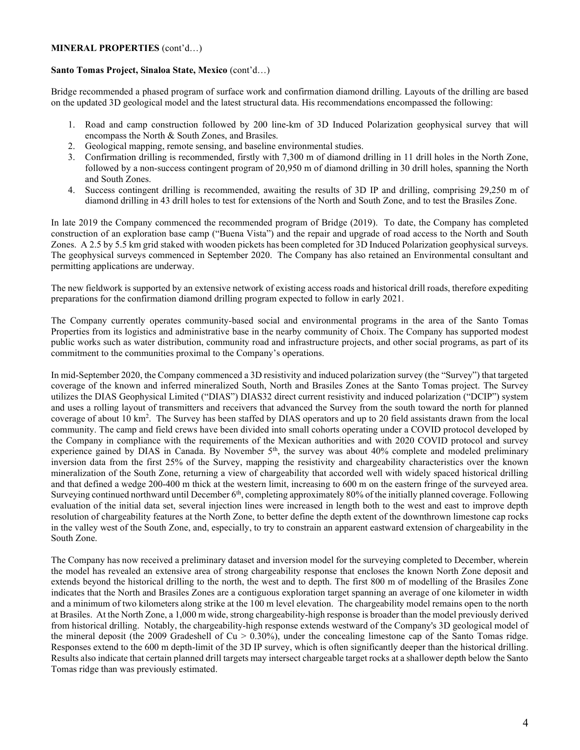#### MINERAL PROPERTIES (cont'd…)

#### Santo Tomas Project, Sinaloa State, Mexico (cont'd…)

Bridge recommended a phased program of surface work and confirmation diamond drilling. Layouts of the drilling are based on the updated 3D geological model and the latest structural data. His recommendations encompassed the following:

- 1. Road and camp construction followed by 200 line-km of 3D Induced Polarization geophysical survey that will encompass the North & South Zones, and Brasiles.
- 2. Geological mapping, remote sensing, and baseline environmental studies.
- 3. Confirmation drilling is recommended, firstly with 7,300 m of diamond drilling in 11 drill holes in the North Zone, followed by a non-success contingent program of 20,950 m of diamond drilling in 30 drill holes, spanning the North and South Zones.
- 4. Success contingent drilling is recommended, awaiting the results of 3D IP and drilling, comprising 29,250 m of diamond drilling in 43 drill holes to test for extensions of the North and South Zone, and to test the Brasiles Zone.

In late 2019 the Company commenced the recommended program of Bridge (2019). To date, the Company has completed construction of an exploration base camp ("Buena Vista") and the repair and upgrade of road access to the North and South Zones. A 2.5 by 5.5 km grid staked with wooden pickets has been completed for 3D Induced Polarization geophysical surveys. The geophysical surveys commenced in September 2020. The Company has also retained an Environmental consultant and permitting applications are underway.

The new fieldwork is supported by an extensive network of existing access roads and historical drill roads, therefore expediting preparations for the confirmation diamond drilling program expected to follow in early 2021.

The Company currently operates community-based social and environmental programs in the area of the Santo Tomas Properties from its logistics and administrative base in the nearby community of Choix. The Company has supported modest public works such as water distribution, community road and infrastructure projects, and other social programs, as part of its commitment to the communities proximal to the Company's operations.

In mid-September 2020, the Company commenced a 3D resistivity and induced polarization survey (the "Survey") that targeted coverage of the known and inferred mineralized South, North and Brasiles Zones at the Santo Tomas project. The Survey utilizes the DIAS Geophysical Limited ("DIAS") DIAS32 direct current resistivity and induced polarization ("DCIP") system and uses a rolling layout of transmitters and receivers that advanced the Survey from the south toward the north for planned coverage of about  $10 \text{ km}^2$ . The Survey has been staffed by DIAS operators and up to 20 field assistants drawn from the local community. The camp and field crews have been divided into small cohorts operating under a COVID protocol developed by the Company in compliance with the requirements of the Mexican authorities and with 2020 COVID protocol and survey experience gained by DIAS in Canada. By November 5<sup>th</sup>, the survey was about 40% complete and modeled preliminary inversion data from the first 25% of the Survey, mapping the resistivity and chargeability characteristics over the known mineralization of the South Zone, returning a view of chargeability that accorded well with widely spaced historical drilling and that defined a wedge 200-400 m thick at the western limit, increasing to 600 m on the eastern fringe of the surveyed area. Surveying continued northward until December 6<sup>th</sup>, completing approximately 80% of the initially planned coverage. Following evaluation of the initial data set, several injection lines were increased in length both to the west and east to improve depth resolution of chargeability features at the North Zone, to better define the depth extent of the downthrown limestone cap rocks in the valley west of the South Zone, and, especially, to try to constrain an apparent eastward extension of chargeability in the South Zone.

The Company has now received a preliminary dataset and inversion model for the surveying completed to December, wherein the model has revealed an extensive area of strong chargeability response that encloses the known North Zone deposit and extends beyond the historical drilling to the north, the west and to depth. The first 800 m of modelling of the Brasiles Zone indicates that the North and Brasiles Zones are a contiguous exploration target spanning an average of one kilometer in width and a minimum of two kilometers along strike at the 100 m level elevation. The chargeability model remains open to the north at Brasiles. At the North Zone, a 1,000 m wide, strong chargeability-high response is broader than the model previously derived from historical drilling. Notably, the chargeability-high response extends westward of the Company's 3D geological model of the mineral deposit (the 2009 Gradeshell of Cu  $> 0.30\%$ ), under the concealing limestone cap of the Santo Tomas ridge. Responses extend to the 600 m depth-limit of the 3D IP survey, which is often significantly deeper than the historical drilling. Results also indicate that certain planned drill targets may intersect chargeable target rocks at a shallower depth below the Santo Tomas ridge than was previously estimated.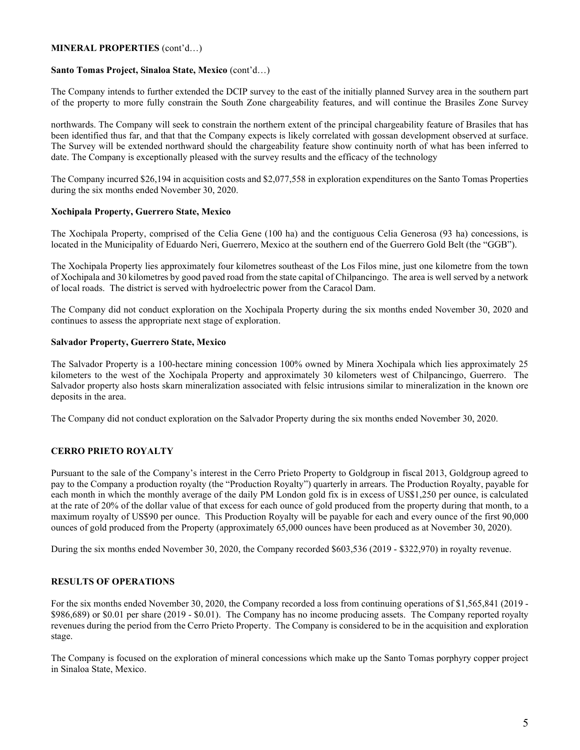#### MINERAL PROPERTIES (cont'd…)

#### Santo Tomas Project, Sinaloa State, Mexico (cont'd…)

The Company intends to further extended the DCIP survey to the east of the initially planned Survey area in the southern part of the property to more fully constrain the South Zone chargeability features, and will continue the Brasiles Zone Survey

northwards. The Company will seek to constrain the northern extent of the principal chargeability feature of Brasiles that has been identified thus far, and that that the Company expects is likely correlated with gossan development observed at surface. The Survey will be extended northward should the chargeability feature show continuity north of what has been inferred to date. The Company is exceptionally pleased with the survey results and the efficacy of the technology

The Company incurred \$26,194 in acquisition costs and \$2,077,558 in exploration expenditures on the Santo Tomas Properties during the six months ended November 30, 2020.

## Xochipala Property, Guerrero State, Mexico

The Xochipala Property, comprised of the Celia Gene (100 ha) and the contiguous Celia Generosa (93 ha) concessions, is located in the Municipality of Eduardo Neri, Guerrero, Mexico at the southern end of the Guerrero Gold Belt (the "GGB").

The Xochipala Property lies approximately four kilometres southeast of the Los Filos mine, just one kilometre from the town of Xochipala and 30 kilometres by good paved road from the state capital of Chilpancingo. The area is well served by a network of local roads. The district is served with hydroelectric power from the Caracol Dam.

The Company did not conduct exploration on the Xochipala Property during the six months ended November 30, 2020 and continues to assess the appropriate next stage of exploration.

#### Salvador Property, Guerrero State, Mexico

The Salvador Property is a 100-hectare mining concession 100% owned by Minera Xochipala which lies approximately 25 kilometers to the west of the Xochipala Property and approximately 30 kilometers west of Chilpancingo, Guerrero. The Salvador property also hosts skarn mineralization associated with felsic intrusions similar to mineralization in the known ore deposits in the area.

The Company did not conduct exploration on the Salvador Property during the six months ended November 30, 2020.

## CERRO PRIETO ROYALTY

Pursuant to the sale of the Company's interest in the Cerro Prieto Property to Goldgroup in fiscal 2013, Goldgroup agreed to pay to the Company a production royalty (the "Production Royalty") quarterly in arrears. The Production Royalty, payable for each month in which the monthly average of the daily PM London gold fix is in excess of US\$1,250 per ounce, is calculated at the rate of 20% of the dollar value of that excess for each ounce of gold produced from the property during that month, to a maximum royalty of US\$90 per ounce. This Production Royalty will be payable for each and every ounce of the first 90,000 ounces of gold produced from the Property (approximately 65,000 ounces have been produced as at November 30, 2020).

During the six months ended November 30, 2020, the Company recorded \$603,536 (2019 - \$322,970) in royalty revenue.

#### RESULTS OF OPERATIONS

For the six months ended November 30, 2020, the Company recorded a loss from continuing operations of \$1,565,841 (2019 - \$986,689) or \$0.01 per share (2019 - \$0.01). The Company has no income producing assets. The Company reported royalty revenues during the period from the Cerro Prieto Property. The Company is considered to be in the acquisition and exploration stage.

The Company is focused on the exploration of mineral concessions which make up the Santo Tomas porphyry copper project in Sinaloa State, Mexico.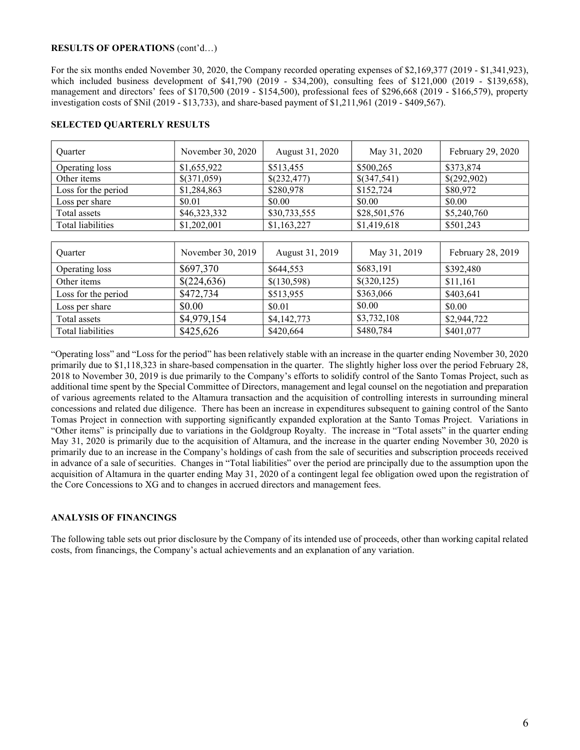#### RESULTS OF OPERATIONS (cont'd…)

For the six months ended November 30, 2020, the Company recorded operating expenses of \$2,169,377 (2019 - \$1,341,923), which included business development of \$41,790 (2019 - \$34,200), consulting fees of \$121,000 (2019 - \$139,658), management and directors' fees of \$170,500 (2019 - \$154,500), professional fees of \$296,668 (2019 - \$166,579), property investigation costs of \$Nil (2019 - \$13,733), and share-based payment of \$1,211,961 (2019 - \$409,567).

# SELECTED QUARTERLY RESULTS

| Quarter             | November 30, 2020 | August 31, 2020 | May 31, 2020 | February 29, 2020 |
|---------------------|-------------------|-----------------|--------------|-------------------|
| Operating loss      | \$1,655,922       | \$513,455       | \$500,265    | \$373,874         |
| Other items         | \$(371,059)       | \$(232,477)     | \$(347,541)  | \$(292,902)       |
| Loss for the period | \$1,284,863       | \$280,978       | \$152,724    | \$80,972          |
| Loss per share      | \$0.01            | \$0.00          | \$0.00       | \$0.00            |
| Total assets        | \$46,323,332      | \$30,733,555    | \$28,501,576 | \$5,240,760       |
| Total liabilities   | \$1,202,001       | \$1,163,227     | \$1,419,618  | \$501,243         |
|                     |                   |                 |              |                   |
| Quarter             | November 30, 2019 | August 31, 2019 | May 31, 2019 | February 28, 2019 |
| Operating loss      | \$697,370         | \$644,553       | \$683,191    | \$392,480         |
| Other items         | \$(224,636)       | \$(130,598)     | \$(320,125)  | \$11,161          |
| Loss for the period | \$472,734         | \$513,955       | \$363,066    | \$403,641         |
| Loss per share      | \$0.00            | \$0.01          | \$0.00       | \$0.00            |
| Total assets        | \$4,979,154       | \$4,142,773     | \$3,732,108  | \$2,944,722       |
| Total liabilities   | \$425,626         | \$420,664       | \$480,784    | \$401,077         |

"Operating loss" and "Loss for the period" has been relatively stable with an increase in the quarter ending November 30, 2020 primarily due to \$1,118,323 in share-based compensation in the quarter. The slightly higher loss over the period February 28, 2018 to November 30, 2019 is due primarily to the Company's efforts to solidify control of the Santo Tomas Project, such as additional time spent by the Special Committee of Directors, management and legal counsel on the negotiation and preparation of various agreements related to the Altamura transaction and the acquisition of controlling interests in surrounding mineral concessions and related due diligence. There has been an increase in expenditures subsequent to gaining control of the Santo Tomas Project in connection with supporting significantly expanded exploration at the Santo Tomas Project. Variations in "Other items" is principally due to variations in the Goldgroup Royalty. The increase in "Total assets" in the quarter ending May 31, 2020 is primarily due to the acquisition of Altamura, and the increase in the quarter ending November 30, 2020 is primarily due to an increase in the Company's holdings of cash from the sale of securities and subscription proceeds received in advance of a sale of securities. Changes in "Total liabilities" over the period are principally due to the assumption upon the acquisition of Altamura in the quarter ending May 31, 2020 of a contingent legal fee obligation owed upon the registration of the Core Concessions to XG and to changes in accrued directors and management fees.

## ANALYSIS OF FINANCINGS

The following table sets out prior disclosure by the Company of its intended use of proceeds, other than working capital related costs, from financings, the Company's actual achievements and an explanation of any variation.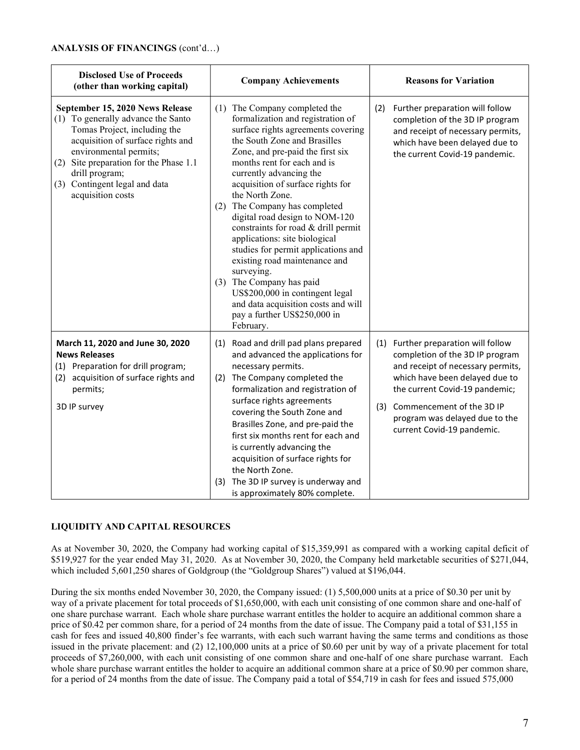| <b>Disclosed Use of Proceeds</b><br>(other than working capital)                                                                                                                                                                                                                       | <b>Company Achievements</b>                                                                                                                                                                                                                                                                                                                                                                                                                                                                                                                                                                                                                                                           | <b>Reasons for Variation</b>                                                                                                                                                                                                                                                     |  |
|----------------------------------------------------------------------------------------------------------------------------------------------------------------------------------------------------------------------------------------------------------------------------------------|---------------------------------------------------------------------------------------------------------------------------------------------------------------------------------------------------------------------------------------------------------------------------------------------------------------------------------------------------------------------------------------------------------------------------------------------------------------------------------------------------------------------------------------------------------------------------------------------------------------------------------------------------------------------------------------|----------------------------------------------------------------------------------------------------------------------------------------------------------------------------------------------------------------------------------------------------------------------------------|--|
| September 15, 2020 News Release<br>(1) To generally advance the Santo<br>Tomas Project, including the<br>acquisition of surface rights and<br>environmental permits;<br>(2) Site preparation for the Phase 1.1<br>drill program;<br>(3) Contingent legal and data<br>acquisition costs | (1) The Company completed the<br>formalization and registration of<br>surface rights agreements covering<br>the South Zone and Brasilles<br>Zone, and pre-paid the first six<br>months rent for each and is<br>currently advancing the<br>acquisition of surface rights for<br>the North Zone.<br>(2) The Company has completed<br>digital road design to NOM-120<br>constraints for road & drill permit<br>applications: site biological<br>studies for permit applications and<br>existing road maintenance and<br>surveying.<br>The Company has paid<br>(3)<br>US\$200,000 in contingent legal<br>and data acquisition costs and will<br>pay a further US\$250,000 in<br>February. | Further preparation will follow<br>(2)<br>completion of the 3D IP program<br>and receipt of necessary permits,<br>which have been delayed due to<br>the current Covid-19 pandemic.                                                                                               |  |
| March 11, 2020 and June 30, 2020<br><b>News Releases</b><br>(1) Preparation for drill program;<br>(2) acquisition of surface rights and<br>permits;<br>3D IP survey                                                                                                                    | (1) Road and drill pad plans prepared<br>and advanced the applications for<br>necessary permits.<br>(2) The Company completed the<br>formalization and registration of<br>surface rights agreements<br>covering the South Zone and<br>Brasilles Zone, and pre-paid the<br>first six months rent for each and<br>is currently advancing the<br>acquisition of surface rights for<br>the North Zone.<br>The 3D IP survey is underway and<br>(3)<br>is approximately 80% complete.                                                                                                                                                                                                       | (1) Further preparation will follow<br>completion of the 3D IP program<br>and receipt of necessary permits,<br>which have been delayed due to<br>the current Covid-19 pandemic;<br>(3) Commencement of the 3D IP<br>program was delayed due to the<br>current Covid-19 pandemic. |  |

## LIQUIDITY AND CAPITAL RESOURCES

As at November 30, 2020, the Company had working capital of \$15,359,991 as compared with a working capital deficit of \$519,927 for the year ended May 31, 2020. As at November 30, 2020, the Company held marketable securities of \$271,044, which included 5,601,250 shares of Goldgroup (the "Goldgroup Shares") valued at \$196,044.

During the six months ended November 30, 2020, the Company issued: (1) 5,500,000 units at a price of \$0.30 per unit by way of a private placement for total proceeds of \$1,650,000, with each unit consisting of one common share and one-half of one share purchase warrant. Each whole share purchase warrant entitles the holder to acquire an additional common share a price of \$0.42 per common share, for a period of 24 months from the date of issue. The Company paid a total of \$31,155 in cash for fees and issued 40,800 finder's fee warrants, with each such warrant having the same terms and conditions as those issued in the private placement: and (2) 12,100,000 units at a price of \$0.60 per unit by way of a private placement for total proceeds of \$7,260,000, with each unit consisting of one common share and one-half of one share purchase warrant. Each whole share purchase warrant entitles the holder to acquire an additional common share at a price of \$0.90 per common share, for a period of 24 months from the date of issue. The Company paid a total of \$54,719 in cash for fees and issued 575,000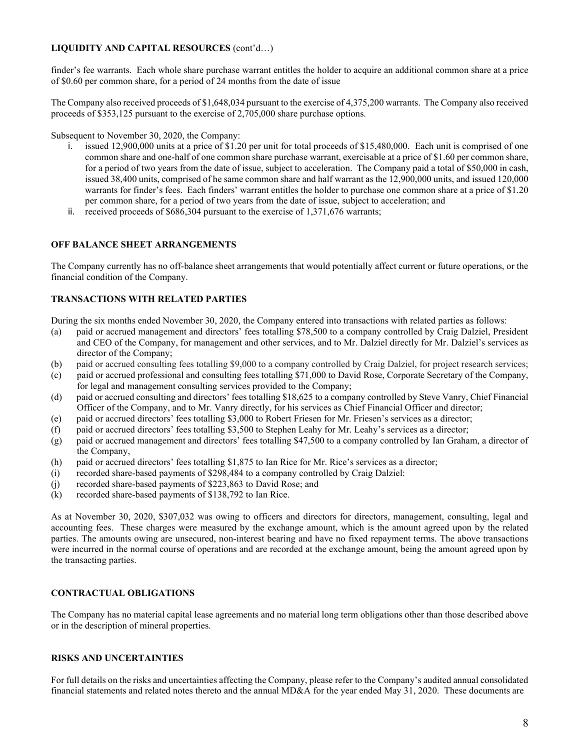## LIQUIDITY AND CAPITAL RESOURCES (cont'd…)

finder's fee warrants. Each whole share purchase warrant entitles the holder to acquire an additional common share at a price of \$0.60 per common share, for a period of 24 months from the date of issue

The Company also received proceeds of \$1,648,034 pursuant to the exercise of 4,375,200 warrants. The Company also received proceeds of \$353,125 pursuant to the exercise of 2,705,000 share purchase options.

Subsequent to November 30, 2020, the Company:

- i. issued 12,900,000 units at a price of \$1.20 per unit for total proceeds of \$15,480,000. Each unit is comprised of one common share and one-half of one common share purchase warrant, exercisable at a price of \$1.60 per common share, for a period of two years from the date of issue, subject to acceleration. The Company paid a total of \$50,000 in cash, issued 38,400 units, comprised of he same common share and half warrant as the 12,900,000 units, and issued 120,000 warrants for finder's fees. Each finders' warrant entitles the holder to purchase one common share at a price of \$1.20 per common share, for a period of two years from the date of issue, subject to acceleration; and
- ii. received proceeds of \$686,304 pursuant to the exercise of 1,371,676 warrants;

## OFF BALANCE SHEET ARRANGEMENTS

The Company currently has no off-balance sheet arrangements that would potentially affect current or future operations, or the financial condition of the Company.

# TRANSACTIONS WITH RELATED PARTIES

During the six months ended November 30, 2020, the Company entered into transactions with related parties as follows:

- (a) paid or accrued management and directors' fees totalling \$78,500 to a company controlled by Craig Dalziel, President and CEO of the Company, for management and other services, and to Mr. Dalziel directly for Mr. Dalziel's services as director of the Company;
- (b) paid or accrued consulting fees totalling \$9,000 to a company controlled by Craig Dalziel, for project research services;
- (c) paid or accrued professional and consulting fees totalling \$71,000 to David Rose, Corporate Secretary of the Company, for legal and management consulting services provided to the Company;
- (d) paid or accrued consulting and directors' fees totalling \$18,625 to a company controlled by Steve Vanry, Chief Financial Officer of the Company, and to Mr. Vanry directly, for his services as Chief Financial Officer and director;
- (e) paid or accrued directors' fees totalling \$3,000 to Robert Friesen for Mr. Friesen's services as a director;
- (f) paid or accrued directors' fees totalling \$3,500 to Stephen Leahy for Mr. Leahy's services as a director;
- (g) paid or accrued management and directors' fees totalling \$47,500 to a company controlled by Ian Graham, a director of the Company,
- (h) paid or accrued directors' fees totalling \$1,875 to Ian Rice for Mr. Rice's services as a director;
- (i) recorded share-based payments of \$298,484 to a company controlled by Craig Dalziel:
- (j) recorded share-based payments of \$223,863 to David Rose; and
- (k) recorded share-based payments of \$138,792 to Ian Rice.

As at November 30, 2020, \$307,032 was owing to officers and directors for directors, management, consulting, legal and accounting fees. These charges were measured by the exchange amount, which is the amount agreed upon by the related parties. The amounts owing are unsecured, non-interest bearing and have no fixed repayment terms. The above transactions were incurred in the normal course of operations and are recorded at the exchange amount, being the amount agreed upon by the transacting parties.

## CONTRACTUAL OBLIGATIONS

The Company has no material capital lease agreements and no material long term obligations other than those described above or in the description of mineral properties.

## RISKS AND UNCERTAINTIES

For full details on the risks and uncertainties affecting the Company, please refer to the Company's audited annual consolidated financial statements and related notes thereto and the annual MD&A for the year ended May 31, 2020. These documents are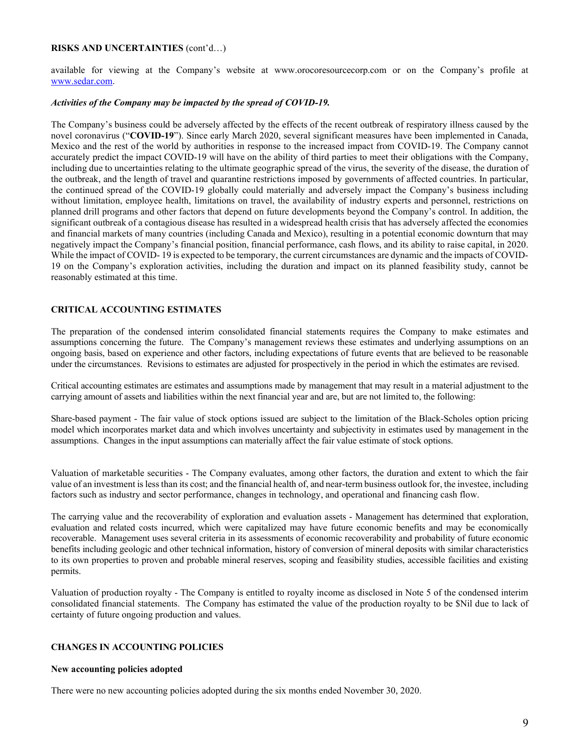#### RISKS AND UNCERTAINTIES (cont'd…)

available for viewing at the Company's website at www.orocoresourcecorp.com or on the Company's profile at www.sedar.com.

## Activities of the Company may be impacted by the spread of COVID-19.

The Company's business could be adversely affected by the effects of the recent outbreak of respiratory illness caused by the novel coronavirus ("COVID-19"). Since early March 2020, several significant measures have been implemented in Canada, Mexico and the rest of the world by authorities in response to the increased impact from COVID-19. The Company cannot accurately predict the impact COVID-19 will have on the ability of third parties to meet their obligations with the Company, including due to uncertainties relating to the ultimate geographic spread of the virus, the severity of the disease, the duration of the outbreak, and the length of travel and quarantine restrictions imposed by governments of affected countries. In particular, the continued spread of the COVID-19 globally could materially and adversely impact the Company's business including without limitation, employee health, limitations on travel, the availability of industry experts and personnel, restrictions on planned drill programs and other factors that depend on future developments beyond the Company's control. In addition, the significant outbreak of a contagious disease has resulted in a widespread health crisis that has adversely affected the economies and financial markets of many countries (including Canada and Mexico), resulting in a potential economic downturn that may negatively impact the Company's financial position, financial performance, cash flows, and its ability to raise capital, in 2020. While the impact of COVID- 19 is expected to be temporary, the current circumstances are dynamic and the impacts of COVID-19 on the Company's exploration activities, including the duration and impact on its planned feasibility study, cannot be reasonably estimated at this time.

# CRITICAL ACCOUNTING ESTIMATES

The preparation of the condensed interim consolidated financial statements requires the Company to make estimates and assumptions concerning the future. The Company's management reviews these estimates and underlying assumptions on an ongoing basis, based on experience and other factors, including expectations of future events that are believed to be reasonable under the circumstances. Revisions to estimates are adjusted for prospectively in the period in which the estimates are revised.

Critical accounting estimates are estimates and assumptions made by management that may result in a material adjustment to the carrying amount of assets and liabilities within the next financial year and are, but are not limited to, the following:

Share-based payment - The fair value of stock options issued are subject to the limitation of the Black-Scholes option pricing model which incorporates market data and which involves uncertainty and subjectivity in estimates used by management in the assumptions. Changes in the input assumptions can materially affect the fair value estimate of stock options.

Valuation of marketable securities - The Company evaluates, among other factors, the duration and extent to which the fair value of an investment is less than its cost; and the financial health of, and near-term business outlook for, the investee, including factors such as industry and sector performance, changes in technology, and operational and financing cash flow.

The carrying value and the recoverability of exploration and evaluation assets - Management has determined that exploration, evaluation and related costs incurred, which were capitalized may have future economic benefits and may be economically recoverable. Management uses several criteria in its assessments of economic recoverability and probability of future economic benefits including geologic and other technical information, history of conversion of mineral deposits with similar characteristics to its own properties to proven and probable mineral reserves, scoping and feasibility studies, accessible facilities and existing permits.

Valuation of production royalty - The Company is entitled to royalty income as disclosed in Note 5 of the condensed interim consolidated financial statements. The Company has estimated the value of the production royalty to be \$Nil due to lack of certainty of future ongoing production and values.

## CHANGES IN ACCOUNTING POLICIES

## New accounting policies adopted

There were no new accounting policies adopted during the six months ended November 30, 2020.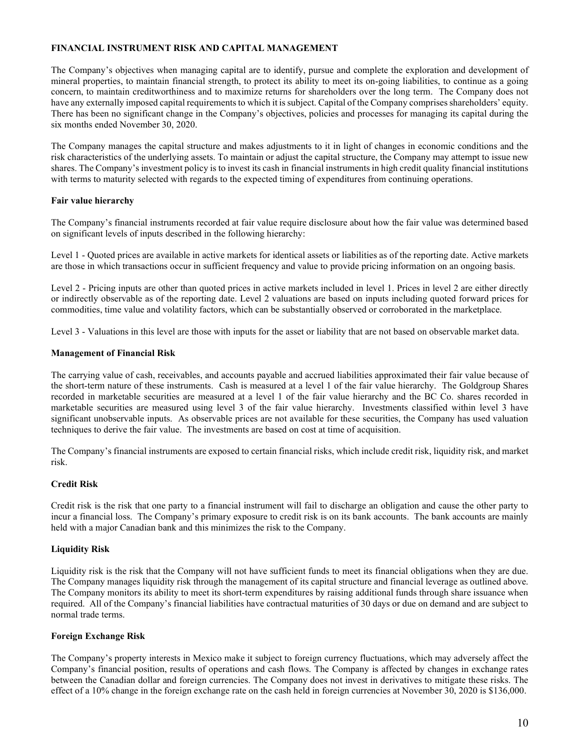#### FINANCIAL INSTRUMENT RISK AND CAPITAL MANAGEMENT

The Company's objectives when managing capital are to identify, pursue and complete the exploration and development of mineral properties, to maintain financial strength, to protect its ability to meet its on-going liabilities, to continue as a going concern, to maintain creditworthiness and to maximize returns for shareholders over the long term. The Company does not have any externally imposed capital requirements to which it is subject. Capital of the Company comprises shareholders' equity. There has been no significant change in the Company's objectives, policies and processes for managing its capital during the six months ended November 30, 2020.

The Company manages the capital structure and makes adjustments to it in light of changes in economic conditions and the risk characteristics of the underlying assets. To maintain or adjust the capital structure, the Company may attempt to issue new shares. The Company's investment policy is to invest its cash in financial instruments in high credit quality financial institutions with terms to maturity selected with regards to the expected timing of expenditures from continuing operations.

## Fair value hierarchy

The Company's financial instruments recorded at fair value require disclosure about how the fair value was determined based on significant levels of inputs described in the following hierarchy:

Level 1 - Quoted prices are available in active markets for identical assets or liabilities as of the reporting date. Active markets are those in which transactions occur in sufficient frequency and value to provide pricing information on an ongoing basis.

Level 2 - Pricing inputs are other than quoted prices in active markets included in level 1. Prices in level 2 are either directly or indirectly observable as of the reporting date. Level 2 valuations are based on inputs including quoted forward prices for commodities, time value and volatility factors, which can be substantially observed or corroborated in the marketplace.

Level 3 - Valuations in this level are those with inputs for the asset or liability that are not based on observable market data.

#### Management of Financial Risk

The carrying value of cash, receivables, and accounts payable and accrued liabilities approximated their fair value because of the short-term nature of these instruments. Cash is measured at a level 1 of the fair value hierarchy. The Goldgroup Shares recorded in marketable securities are measured at a level 1 of the fair value hierarchy and the BC Co. shares recorded in marketable securities are measured using level 3 of the fair value hierarchy. Investments classified within level 3 have significant unobservable inputs. As observable prices are not available for these securities, the Company has used valuation techniques to derive the fair value. The investments are based on cost at time of acquisition.

The Company's financial instruments are exposed to certain financial risks, which include credit risk, liquidity risk, and market risk.

## Credit Risk

Credit risk is the risk that one party to a financial instrument will fail to discharge an obligation and cause the other party to incur a financial loss. The Company's primary exposure to credit risk is on its bank accounts. The bank accounts are mainly held with a major Canadian bank and this minimizes the risk to the Company.

## Liquidity Risk

Liquidity risk is the risk that the Company will not have sufficient funds to meet its financial obligations when they are due. The Company manages liquidity risk through the management of its capital structure and financial leverage as outlined above. The Company monitors its ability to meet its short-term expenditures by raising additional funds through share issuance when required. All of the Company's financial liabilities have contractual maturities of 30 days or due on demand and are subject to normal trade terms.

## Foreign Exchange Risk

The Company's property interests in Mexico make it subject to foreign currency fluctuations, which may adversely affect the Company's financial position, results of operations and cash flows. The Company is affected by changes in exchange rates between the Canadian dollar and foreign currencies. The Company does not invest in derivatives to mitigate these risks. The effect of a 10% change in the foreign exchange rate on the cash held in foreign currencies at November 30, 2020 is \$136,000.